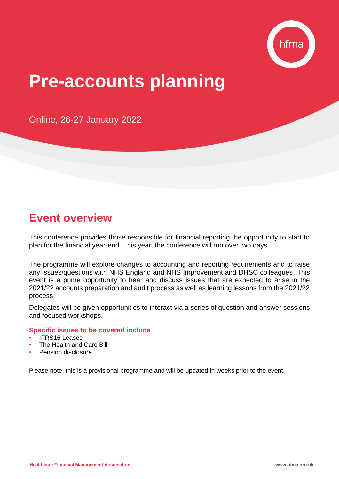

# **Pre-accounts planning**

Online, 26-27 January 2022

## **Event overview**

This conference provides those responsible for financial reporting the opportunity to start to plan for the financial year-end. This year, the conference will run over two days.

The programme will explore changes to accounting and reporting requirements and to raise any issues/questions with NHS England and NHS Improvement and DHSC colleagues. This event is a prime opportunity to hear and discuss issues that are expected to arise in the 2021/22 accounts preparation and audit process as well as learning lessons from the 2021/22 process

Delegates will be given opportunities to interact via a series of question and answer sessions and focused workshops.

#### **Specific issues to be covered include**

- **IFRS16 Leases**
- The Health and Care Bill
- Pension disclosure

Please note, this is a provisional programme and will be updated in weeks prior to the event.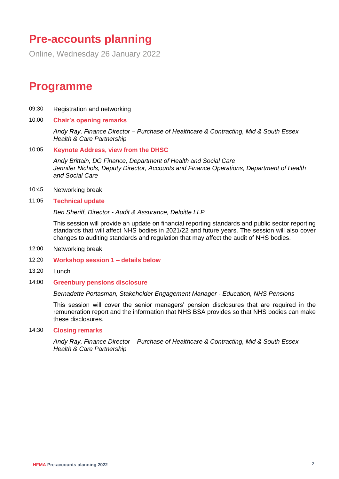### **Pre-accounts planning**

Online, Wednesday 26 January 2022

### **Programme**

- 09:30 Registration and networking
- 10.00 **Chair's opening remarks**

*Andy Ray, Finance Director – Purchase of Healthcare & Contracting, Mid & South Essex Health & Care Partnership*

10:05 **Keynote Address, view from the DHSC**

*Andy Brittain, DG Finance, Department of Health and Social Care Jennifer Nichols, Deputy Director, Accounts and Finance Operations, Department of Health and Social Care*

- 10:45 Networking break
- 11:05 **Technical update**

*Ben Sheriff, Director - Audit & Assurance, Deloitte LLP* 

This session will provide an update on financial reporting standards and public sector reporting standards that will affect NHS bodies in 2021/22 and future years. The session will also cover changes to auditing standards and regulation that may affect the audit of NHS bodies.

- 12:00 Networking break
- 12.20 **Workshop session 1 – details below**
- 13.20 Lunch
- 14:00 **Greenbury pensions disclosure**

#### *Bernadette Portasman, Stakeholder Engagement Manager - Education, NHS Pensions*

This session will cover the senior managers' pension disclosures that are required in the remuneration report and the information that NHS BSA provides so that NHS bodies can make these disclosures.

#### 14:30 **Closing remarks**

*Andy Ray, Finance Director – Purchase of Healthcare & Contracting, Mid & South Essex Health & Care Partnership*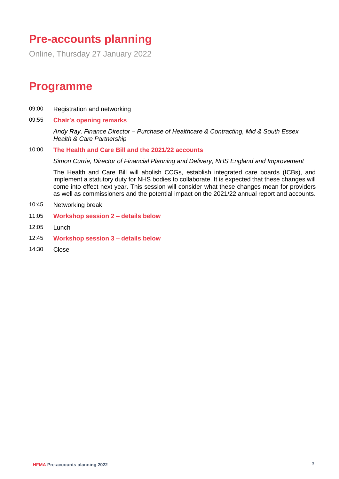# **Pre-accounts planning**

Online, Thursday 27 January 2022

### **Programme**

- 09:00 Registration and networking
- 09:55 **Chair's opening remarks**

*Andy Ray, Finance Director – Purchase of Healthcare & Contracting, Mid & South Essex Health & Care Partnership*

10:00 **The Health and Care Bill and the 2021/22 accounts** 

*Simon Currie, Director of Financial Planning and Delivery, NHS England and Improvement* 

The Health and Care Bill will abolish CCGs, establish integrated care boards (ICBs), and implement a statutory duty for NHS bodies to collaborate. It is expected that these changes will come into effect next year. This session will consider what these changes mean for providers as well as commissioners and the potential impact on the 2021/22 annual report and accounts.

- 10:45 Networking break
- 11:05 **Workshop session 2 – details below**
- 12:05 Lunch
- 12:45 **Workshop session 3 – details below**
- 14:30 Close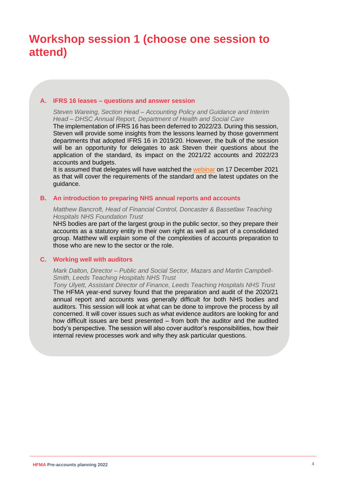#### **A. IFRS 16 leases – questions and answer session**

*Steven Wareing, Section Head – Accounting Policy and Guidance and Interim Head – DHSC Annual Report, Department of Health and Social Care*

The implementation of IFRS 16 has been deferred to 2022/23. During this session, Steven will provide some insights from the lessons learned by those government departments that adopted IFRS 16 in 2019/20. However, the bulk of the session will be an opportunity for delegates to ask Steven their questions about the application of the standard, its impact on the 2021/22 accounts and 2022/23 accounts and budgets.

It is assumed that delegates will have watched the [webinar](https://www.hfma.org.uk/education-events/hfma-event/ifrs-16-leases-2021) on 17 December 2021 as that will cover the requirements of the standard and the latest updates on the guidance.

#### **B. An introduction to preparing NHS annual reports and accounts**

#### *Matthew Bancroft, Head of Financial Control, Doncaster & Bassetlaw Teaching Hospitals NHS Foundation Trust*

NHS bodies are part of the largest group in the public sector, so they prepare their accounts as a statutory entity in their own right as well as part of a consolidated group. Matthew will explain some of the complexities of accounts preparation to those who are new to the sector or the role.

#### **C. Working well with auditors**

#### *Mark Dalton, Director – Public and Social Sector, Mazars and Martin Campbell-Smith, Leeds Teaching Hospitals NHS Trust*

*Tony Ulyett, Assistant Director of Finance, Leeds Teaching Hospitals NHS Trust* The HFMA year-end survey found that the preparation and audit of the 2020/21 annual report and accounts was generally difficult for both NHS bodies and auditors. This session will look at what can be done to improve the process by all concerned. It will cover issues such as what evidence auditors are looking for and how difficult issues are best presented – from both the auditor and the audited body's perspective. The session will also cover auditor's responsibilities, how their internal review processes work and why they ask particular questions.